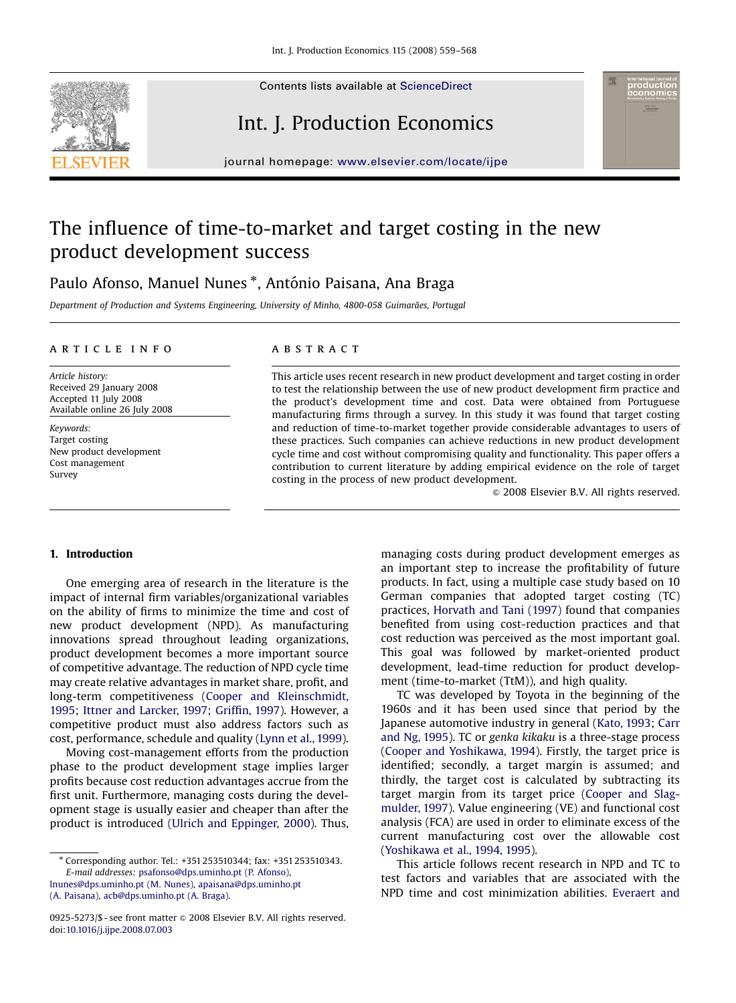Contents lists available at [ScienceDirect](www.sciencedirect.com/science/journal/proeco)



# Int. J. Production Economics

journal homepage: <www.elsevier.com/locate/ijpe>

## The influence of time-to-market and target costing in the new product development success

### Paulo Afonso, Manuel Nunes \*, António Paisana, Ana Braga

Department of Production and Systems Engineering, University of Minho, 4800-058 Guimarães, Portugal

#### article info

Article history: Received 29 January 2008 Accepted 11 July 2008 Available online 26 July 2008

Keywords: Target costing New product development Cost management Survey

### **ABSTRACT**

This article uses recent research in new product development and target costing in order to test the relationship between the use of new product development firm practice and the product's development time and cost. Data were obtained from Portuguese manufacturing firms through a survey. In this study it was found that target costing and reduction of time-to-market together provide considerable advantages to users of these practices. Such companies can achieve reductions in new product development cycle time and cost without compromising quality and functionality. This paper offers a contribution to current literature by adding empirical evidence on the role of target costing in the process of new product development.

 $© 2008 Elsevier B.V. All rights reserved.$ 

#### 1. Introduction

One emerging area of research in the literature is the impact of internal firm variables/organizational variables on the ability of firms to minimize the time and cost of new product development (NPD). As manufacturing innovations spread throughout leading organizations, product development becomes a more important source of competitive advantage. The reduction of NPD cycle time may create relative advantages in market share, profit, and long-term competitiveness [\(Cooper and Kleinschmidt,](#page--1-0) [1995;](#page--1-0) [Ittner and Larcker, 1997;](#page--1-0) [Griffin, 1997](#page--1-0)). However, a competitive product must also address factors such as cost, performance, schedule and quality [\(Lynn et al., 1999](#page--1-0)).

Moving cost-management efforts from the production phase to the product development stage implies larger profits because cost reduction advantages accrue from the first unit. Furthermore, managing costs during the development stage is usually easier and cheaper than after the product is introduced [\(Ulrich and Eppinger, 2000\)](#page--1-0). Thus,

[lnunes@dps.uminho.pt \(M. Nunes\)](mailto:lnunes@dps.uminho.pt), [apaisana@dps.uminho.pt](mailto:apaisana@dps.uminho.pt) [\(A. Paisana\),](mailto:apaisana@dps.uminho.pt) [acb@dps.uminho.pt \(A. Braga\)](mailto:acb@dps.uminho.pt).

managing costs during product development emerges as an important step to increase the profitability of future products. In fact, using a multiple case study based on 10 German companies that adopted target costing (TC) practices, [Horvath and Tani \(1997\)](#page--1-0) found that companies benefited from using cost-reduction practices and that cost reduction was perceived as the most important goal. This goal was followed by market-oriented product development, lead-time reduction for product development (time-to-market (TtM)), and high quality.

TC was developed by Toyota in the beginning of the 1960s and it has been used since that period by the Japanese automotive industry in general ([Kato, 1993;](#page--1-0) [Carr](#page--1-0) [and Ng, 1995\)](#page--1-0). TC or genka kikaku is a three-stage process [\(Cooper and Yoshikawa, 1994](#page--1-0)). Firstly, the target price is identified; secondly, a target margin is assumed; and thirdly, the target cost is calculated by subtracting its target margin from its target price [\(Cooper and Slag](#page--1-0)[mulder, 1997\)](#page--1-0). Value engineering (VE) and functional cost analysis (FCA) are used in order to eliminate excess of the current manufacturing cost over the allowable cost [\(Yoshikawa et al., 1994, 1995\)](#page--1-0).

This article follows recent research in NPD and TC to test factors and variables that are associated with the NPD time and cost minimization abilities. [Everaert and](#page--1-0)

<sup>-</sup> Corresponding author. Tel.: +351 253510344; fax: +351 253510343. E-mail addresses: [psafonso@dps.uminho.pt \(P. Afonso\),](mailto:psafonso@dps.uminho.pt)

<sup>0925-5273/\$ -</sup> see front matter  $\circ$  2008 Elsevier B.V. All rights reserved. doi:[10.1016/j.ijpe.2008.07.003](dx.doi.org/10.1016/j.ijpe.2008.07.003)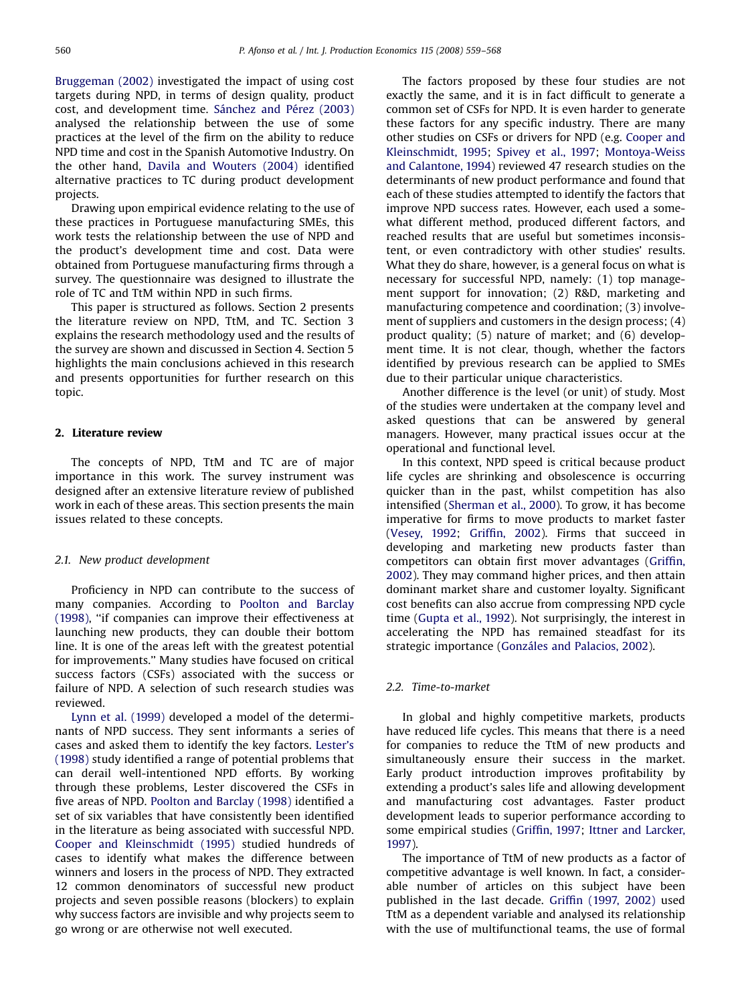[Bruggeman \(2002\)](#page--1-0) investigated the impact of using cost targets during NPD, in terms of design quality, product cost, and development time. Sánchez and Pérez (2003) analysed the relationship between the use of some practices at the level of the firm on the ability to reduce NPD time and cost in the Spanish Automotive Industry. On the other hand, [Davila and Wouters \(2004\)](#page--1-0) identified alternative practices to TC during product development projects.

Drawing upon empirical evidence relating to the use of these practices in Portuguese manufacturing SMEs, this work tests the relationship between the use of NPD and the product's development time and cost. Data were obtained from Portuguese manufacturing firms through a survey. The questionnaire was designed to illustrate the role of TC and TtM within NPD in such firms.

This paper is structured as follows. Section 2 presents the literature review on NPD, TtM, and TC. Section 3 explains the research methodology used and the results of the survey are shown and discussed in Section 4. Section 5 highlights the main conclusions achieved in this research and presents opportunities for further research on this topic.

### 2. Literature review

The concepts of NPD, TtM and TC are of major importance in this work. The survey instrument was designed after an extensive literature review of published work in each of these areas. This section presents the main issues related to these concepts.

#### 2.1. New product development

Proficiency in NPD can contribute to the success of many companies. According to [Poolton and Barclay](#page--1-0) [\(1998\),](#page--1-0) ''if companies can improve their effectiveness at launching new products, they can double their bottom line. It is one of the areas left with the greatest potential for improvements.'' Many studies have focused on critical success factors (CSFs) associated with the success or failure of NPD. A selection of such research studies was reviewed.

[Lynn et al. \(1999\)](#page--1-0) developed a model of the determinants of NPD success. They sent informants a series of cases and asked them to identify the key factors. [Lester's](#page--1-0) [\(1998\)](#page--1-0) study identified a range of potential problems that can derail well-intentioned NPD efforts. By working through these problems, Lester discovered the CSFs in five areas of NPD. [Poolton and Barclay \(1998\)](#page--1-0) identified a set of six variables that have consistently been identified in the literature as being associated with successful NPD. [Cooper and Kleinschmidt \(1995\)](#page--1-0) studied hundreds of cases to identify what makes the difference between winners and losers in the process of NPD. They extracted 12 common denominators of successful new product projects and seven possible reasons (blockers) to explain why success factors are invisible and why projects seem to go wrong or are otherwise not well executed.

The factors proposed by these four studies are not exactly the same, and it is in fact difficult to generate a common set of CSFs for NPD. It is even harder to generate these factors for any specific industry. There are many other studies on CSFs or drivers for NPD (e.g. [Cooper and](#page--1-0) [Kleinschmidt, 1995;](#page--1-0) [Spivey et al., 1997;](#page--1-0) [Montoya-Weiss](#page--1-0) [and Calantone, 1994](#page--1-0)) reviewed 47 research studies on the determinants of new product performance and found that each of these studies attempted to identify the factors that improve NPD success rates. However, each used a somewhat different method, produced different factors, and reached results that are useful but sometimes inconsistent, or even contradictory with other studies' results. What they do share, however, is a general focus on what is necessary for successful NPD, namely: (1) top management support for innovation; (2) R&D, marketing and manufacturing competence and coordination; (3) involvement of suppliers and customers in the design process; (4) product quality; (5) nature of market; and (6) development time. It is not clear, though, whether the factors identified by previous research can be applied to SMEs due to their particular unique characteristics.

Another difference is the level (or unit) of study. Most of the studies were undertaken at the company level and asked questions that can be answered by general managers. However, many practical issues occur at the operational and functional level.

In this context, NPD speed is critical because product life cycles are shrinking and obsolescence is occurring quicker than in the past, whilst competition has also intensified ([Sherman et al., 2000](#page--1-0)). To grow, it has become imperative for firms to move products to market faster [\(Vesey, 1992;](#page--1-0) [Griffin, 2002](#page--1-0)). Firms that succeed in developing and marketing new products faster than competitors can obtain first mover advantages ([Griffin,](#page--1-0) [2002](#page--1-0)). They may command higher prices, and then attain dominant market share and customer loyalty. Significant cost benefits can also accrue from compressing NPD cycle time [\(Gupta et al., 1992\)](#page--1-0). Not surprisingly, the interest in accelerating the NPD has remained steadfast for its strategic importance (Gonzáles and Palacios, 2002).

#### 2.2. Time-to-market

In global and highly competitive markets, products have reduced life cycles. This means that there is a need for companies to reduce the TtM of new products and simultaneously ensure their success in the market. Early product introduction improves profitability by extending a product's sales life and allowing development and manufacturing cost advantages. Faster product development leads to superior performance according to some empirical studies [\(Griffin, 1997;](#page--1-0) [Ittner and Larcker,](#page--1-0) [1997\)](#page--1-0).

The importance of TtM of new products as a factor of competitive advantage is well known. In fact, a considerable number of articles on this subject have been published in the last decade. [Griffin \(1997, 2002\)](#page--1-0) used TtM as a dependent variable and analysed its relationship with the use of multifunctional teams, the use of formal